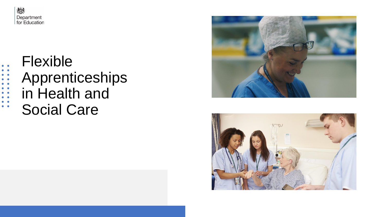

. . . . . . . . . .<br>. . . . . . . . .

 $\bullet$ 

Flexible Apprenticeships in Health and Social Care



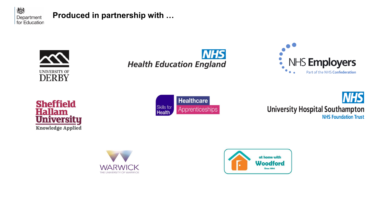

## **Produced in partnership with …**









Healthcare Skills for<br>**Health** Apprenticeships





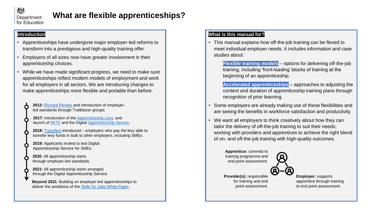

## **What are flexible apprenticeships?**

#### **Introduction**

- Apprenticeships have undergone major employer-led reforms to transform into a prestigious and high-quality training offer.
- Employers of all sizes now have greater involvement in their apprenticeship choices.
- While we have made significant progress, we need to make sure apprenticeships reflect modern models of employment and work for all employers in all sectors. We are introducing changes to make apprenticeships more flexible and portable than before.
	- **2012:** [Richard Review a](https://assets.publishing.service.gov.uk/government/uploads/system/uploads/attachment_data/file/34708/richard-review-full.pdf)nd introduction of employerled standards through Trailblazer groups.
	- 2017: introduction of the [Apprenticeship Levy](https://www.gov.uk/guidance/pay-apprenticeship-levy); and launch of [IfATE](https://www.instituteforapprenticeships.org/) and the Digital [Apprenticeship Service.](https://accounts.manage-apprenticeships.service.gov.uk/)
	- **2018:** [Transfers](https://www.gov.uk/guidance/transferring-apprenticeship-service-funds) introduced employers who pay the levy able to transfer levy funds in bulk to other employers, including SMEs.
	- **2019:** Applicants invited to test Digital Apprenticeship Service for SMEs.
	- **2020**: All apprenticeship starts through employer-led standards.
	- **2021:** All apprenticeship starts arranged through the Digital Apprenticeship Service.
	- **Beyond 2021**: Building on employer-led apprenticeships to deliver the ambitions of the [Skills for Jobs White Paper.](https://assets.publishing.service.gov.uk/government/uploads/system/uploads/attachment_data/file/957856/Skills_for_jobs_lifelong_learning_for_opportunity_and_growth__web_version_.pdf)

#### **What is this manual for?**

• This manual explains how off-the-job training can be flexed to meet individual employer needs. It includes information and case studies about:

**Flexible training models** – options for delivering off-the-job training, including 'front-loading' blocks of training at the beginning of an apprenticeship.

**Accelerated apprenticeships** – approaches to adjusting the content and duration of apprenticeship training plans through recognition of prior learning.

- Some employers are already making use of these flexibilities and are seeing the benefits in workforce satisfaction and productivity.
- We want all employers to think creatively about how they can tailor the delivery of off-the-job training to suit their needs; working with providers and apprentices to achieve the right blend of on- and off-the-job training with high-quality outcomes.

**Apprentice:** commits to training programme and end point assessment.



**Provider(s):** responsible for training and end point assessment.

**Employer:** supports apprentice through training to end point assessment.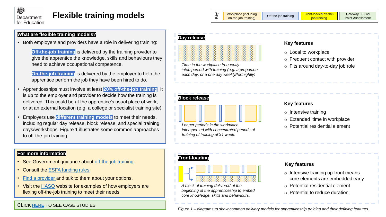## **Flexible training models**

| Φ | <b>Workplace (including</b><br>on-the-job training) | Off-the-job training | <b>Front-loaded off-the-</b><br>job training |
|---|-----------------------------------------------------|----------------------|----------------------------------------------|
|   |                                                     |                      |                                              |

#### **What are flexible training models?**

• Both employers and providers have a role in delivering training:

**Off-the-job training** is delivered by the training provider to give the apprentice the knowledge, skills and behaviours they need to achieve occupational competence.

• **On-the-job training** is delivered by the employer to help the apprentice perform the job they have been hired to do.

- Apprenticeships must involve at least **20% off-the-job training**. It is up to the employer and provider to decide how the training is delivered. This could be at the apprentice's usual place of work, or at an external location (e.g. a college or specialist training site).
- Employers use **different training models** to meet their needs, including regular day release, block release, and special training days/workshops. Figure 1 illustrates some common approaches to off-the-job training.

#### **For more information**

- See Government guidance about [off-the-job training.](https://www.gov.uk/government/publications/apprenticeships-off-the-job-training)
- Consult the [ESFA funding rules.](https://www.gov.uk/guidance/apprenticeship-funding-rules#the-latest-rules-2020-to-2021)
- [Find a provider a](https://findapprenticeshiptraining.apprenticeships.education.gov.uk/)nd talk to them about your options.
- Visit the [HASO](https://haso.skillsforhealth.org.uk/case-studies/) website for examples of how employers are flexing off-the-job training to meet their needs.

### CLICK **[HERE](#page-5-0)** TO SEE CASE STUDIES

#### **Day release**



o Fits around day-to-day job role *Time in the workplace frequently interspersed with training (e.g. a proportion each day, or a one day weekly/fortnightly)*

#### **Key features**

- o Local to workplace
- $\circ$  Frequent contact with provider
- 



*Longer periods in the workplace interspersed with concentrated periods of training of training of ≥1 week.*

#### **Key features**

- o Intensive training
- o Extended time in workplace
- o Potential residential element

#### **Front-loading**



*A block of training delivered at the beginning of the apprenticeship to embed core knowledge, skills and behaviours.*

#### **Key features**

- o Intensive training up-front means core elements are embedded early
- o Potential residential element
- o Potential to reduce duration

*Figure 1 – diagrams to show common delivery models for apprenticeship training and their defining features.*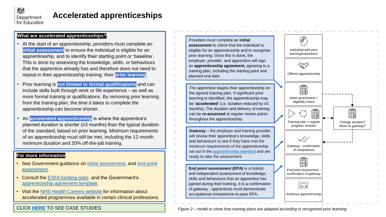

## **Accelerated apprenticeships**

#### **What are accelerated apprenticeships?**

- At the start of an apprenticeship, providers must complete an **initial assessment** to ensure the individual is eligible for an apprenticeship, and to identify their starting point or 'baseline'. This is done by assessing the knowledge, skills, or behaviours that the apprentice already has and therefore does not need to repeat in their apprenticeship training: their **prior learning**.
- Prior learning is **not limited to formal qualifications** and can include skills built through work or life experience – as well as more formal training or qualifications. By removing prior learning from the training plan, the time it takes to complete the apprenticeship can become shorter.
- An **accelerated apprenticeship** is where the apprentice's planned duration is shorter (≥3 months) than the typical duration of the standard, based on prior learning. Minimum requirements of an apprenticeship must still be met, including the 12-month minimum duration and 20% off-the-job training.

#### **For more information**

- [See Government guidance on i](https://www.gov.uk/guidance/apprenticeship-gateway-and-resits-for-end-point-assessment-epa#gateway)[nitial assessment](https://www.gov.uk/government/publications/apprenticeships-recognition-of-prior-learning/apprenticeships-initial-assessment-to-recognise-prior-learning), and end-point assessment.
- Consult the [ESFA funding rules](https://www.gov.uk/guidance/apprenticeship-funding-rules#the-latest-rules-2020-to-2021) and the Government's [apprenticeship agreement template.](https://www.gov.uk/government/publications/apprenticeship-agreement-template)
- Visit the [NHS Health Careers website f](https://www.healthcareers.nhs.uk/career-planning/study-and-training/graduate-training-opportunities/accelerated-programmes)or information about accelerated programmes available in certain clinical professions.

CLICK **[HERE](#page-9-0)** TO SEE CASE STUDIES

Providers must complete an **initial assessment** to check that the individual is eligible for an apprenticeship and to recognise prior learning. Once this is done, the employer, provider, and apprentice will sign an **apprenticeship agreement,** agreeing to a training plan, including the starting point and planned end date.

The apprentice begins their apprenticeship on the agreed training plan. If significant prior learning is identified, the apprenticeship may be **'accelerated'** (i.e. duration reduced by ≥3 months). The duration and delivery of training can be **re-assessed** at regular review points throughout the apprenticeship.

**Gateway** – the employer and training provider will review their apprentice's knowledge, skills and behaviours to see if they have met the minimum requirements of the apprenticeship set out in the [apprenticeship standard](https://www.instituteforapprenticeships.org/apprenticeship-standards/?) and are ready to take the assessment.

**End point assessment (EPA)** is a holistic and independent assessment of knowledge, skills and behaviours that an apprentice has gained during their training. It is a confirmation of gateway - apprentices must demonstrate occupational competence to pass EPA.



*Figure 2 – model to show how training plans are adapted according to recognised prior learning.*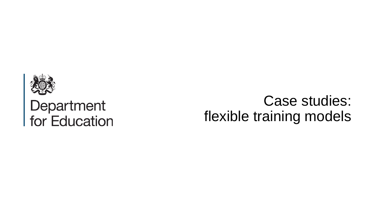<span id="page-5-0"></span>

# Department<br>for Education

## Case studies: flexible training models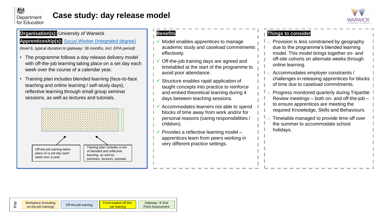

## **Case study: day release model**



#### **Organisation(s):** University of Warwick

#### **Apprenticeship(s):** S[ocial Worker \(integrated degree\)](https://www.instituteforapprenticeships.org/apprenticeship-standards/social-worker-(integrated-degree)-v1-0)

*(level 6, typical duration to gateway: 36 months, incl. EPA period)*

- The programme follows a day release delivery model with off-the-job learning taking place on a set day each week over the course of a calendar year.
- Training plan includes blended learning (face-to-face teaching and online learning / self-study days), reflective learning through small group seminar sessions, as well as lectures and tutorials.



#### **Benefits**

- $\checkmark$  Model enables apprentices to manage academic study and caseload commitments effectively.
- Off-the-job training days are agreed and timetabled at the start of the programme to avoid poor attendance.
- Structure enables rapid application of taught concepts into practice to reinforce and embed theoretical learning during 4 days between teaching sessions.
- ✓ Accommodates learners not able to spend blocks of time away from work and/or for personal reasons (caring responsibilities / children).
- ✓ Provides a reflective learning model apprentices learn from peers working in very different practice settings.

- o Provision is less constrained by geography due to the programme's blended learning model. This model brings together on- and off-site cohorts on alternate weeks through online learning.
- o Accommodates employer constraints / challenges in releasing apprentices for blocks of time due to caseload commitments.
- Progress monitored quarterly during Tripartite Review meetings – both on- and off-the-job – to ensure apprentices are meeting the required Knowledge, Skills and Behaviours.
- Timetable managed to provide time off over the summer to accommodate school holidays.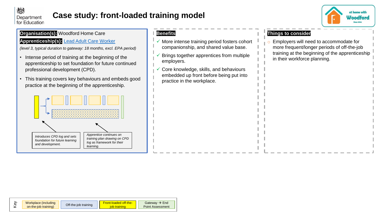

## **Case study: front-loaded training model**



#### **Organisation(s):** Woodford Home Care

#### **Apprenticeship(s):** [Lead Adult Care Worker](https://www.instituteforapprenticeships.org/apprenticeship-standards/lead-adult-care-worker-v1-1)

*(level 3, typical duration to gateway: 18 months, excl. EPA period)*

- Intense period of training at the beginning of the apprenticeship to set foundation for future continued professional development (CPD).
- This training covers key behaviours and embeds good practice at the beginning of the apprenticeship.



#### **Benefits**

- ✓ More intense training period fosters cohort companionship, and shared value base.
- ✓ Brings together apprentices from multiple employers.
- Core knowledge, skills, and behaviours embedded up front before being put into practice in the workplace.

#### **Things to consider**

o Employers will need to accommodate for more frequent/longer periods of off-the-job training at the beginning of the apprenticeship in their workforce planning.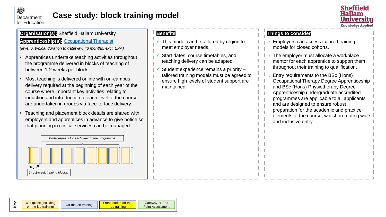

## **Case study: block training model**



#### **Organisation(s):** Sheffield Hallam University

#### **Apprenticeship(s):** [Occupational Therapist](https://www.instituteforapprenticeships.org/apprenticeship-standards/occupational-therapist-(integrated-degree)-v1-0)

*(level 6, typical duration to gateway: 48 months, excl. EPA)*

- Apprentices undertake teaching activities throughout the programme delivered in blocks of teaching of between 1-2 weeks per block.
- Most teaching is delivered online with on-campus delivery required at the beginning of each year of the course where important key activities relating to induction and introduction to each level of the course are undertaken in groups via face-to-face delivery.
- Teaching and placement block details are shared with employers and apprentices in advance to give notice so that planning in clinical services can be managed.



#### **Benefits**

- $\checkmark$  This model can be tailored by region to meet employer needs.
- Start dates, course timetables, and teaching delivery can be adapted.
- Student experience remains a priority tailored training models must be agreed to ensure high levels of student support are maintained.

- o Employers can access tailored training models for closed cohorts.
- The employer must allocate a workplace mentor for each apprentice to support them throughout their training to qualification.
- o Entry requirements to the BSc (Hons) Occupational Therapy Degree Apprenticeship and BSc (Hons) Physiotherapy Degree Apprenticeship undergraduate accredited programmes are applicable to all applicants and are designed to ensure robust preparation for the academic and practice elements of the course, whilst promoting wide and inclusive entry.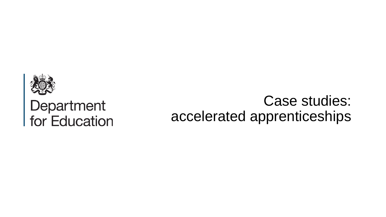<span id="page-9-0"></span>

# **Department**<br>for Education

## Case studies: accelerated apprenticeships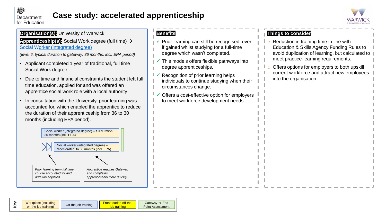

## **Case study: accelerated apprenticeship**



#### **Organisation(s):** University of Warwick

**Apprenticeship(s):** Social Work degree (full time) → [Social Worker \(integrated degree\)](https://www.instituteforapprenticeships.org/apprenticeship-standards/social-worker-(integrated-degree)-v1-0)

*(level 6, typical duration to gateway: 36 months, incl. EPA period)*

- Applicant completed 1 year of traditional, full time Social Work degree.
- Due to time and financial constraints the student left full time education, applied for and was offered an apprentice social work role with a local authority
- In consultation with the University, prior learning was accounted for, which enabled the apprentice to reduce the duration of their apprenticeship from 36 to 30 months (including EPA period).



#### **Benefits**

- $\checkmark$  Prior learning can still be recognised, even if gained whilst studying for a full-time degree which wasn't completed.
- This models offers flexible pathways into degree apprenticeships.
- Recognition of prior learning helps individuals to continue studying when their circumstances change.
- Offers a cost-effective option for employers to meet workforce development needs.

- $\circ$  Reduction in training time in line with Education & Skills Agency Funding Rules to avoid duplication of learning, but calculated to meet practice-learning requirements.
- Offers options for employers to both upskill current workforce and attract new employees into the organisation.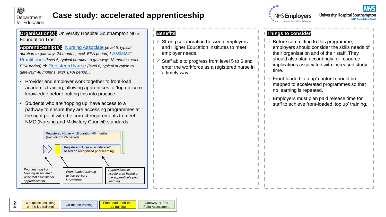

## **Case study: accelerated apprenticeship**

**Organisation(s):** University Hospital Southampton NHS Foundation Trust

**Apprenticeship(s):** [Nursing Associate](https://www.instituteforapprenticeships.org/apprenticeship-standards/nursing-associate-(nmc-2018)-v1-1) *(level 5, typical*  [duration to gateway: 24 months, excl. EPA period\)](https://www.instituteforapprenticeships.org/apprenticeship-standards/healthcare-assistant-practitioner-v1-0) / Assistant Practitioner *(level 5, typical duration to gateway: 18 months, excl. EPA period)* → [Registered Nurse](https://www.instituteforapprenticeships.org/apprenticeship-standards/registered-nurse-degree-(nmc-2018)-v1-1) *(level 6, typical duration to gateway: 48 months, excl. EPA period)*.

- Provider and employer work together to front-load academic training, allowing apprentices to 'top up' core knowledge before putting this into practice.
- Students who are 'topping up' have access to a pathway to ensure they are accessing programmes at the right point with the correct requirements to meet NMC (Nursing and Midwifery Council) standards.



## **Benefits**

- Strong collaboration between employers and Higher Education Institutes to meet employer needs.
- Staff able to progress from level 5 to 6 and enter the workforce as a registered nurse in a timely way.



**University Hospital Southampton NHS Foundation Trust** 

- o Before committing to this programme, employers should consider the skills needs of their organisation and of their staff. They should also plan accordingly for resource implications associated with increased study time.
- Front-loaded 'top up' content should be mapped to accelerated programmes so that no learning is repeated.
- Employers must plan paid release time for staff to achieve front-loaded 'top up' training.

| <u>ම</u> | Workplace (including | Off-the-job training | <b>Eront-loaded off-the-</b> | Gateway $\rightarrow$ End |
|----------|----------------------|----------------------|------------------------------|---------------------------|
|          | on-the-job training) |                      |                              | Point Assessment          |
|          |                      |                      |                              |                           |